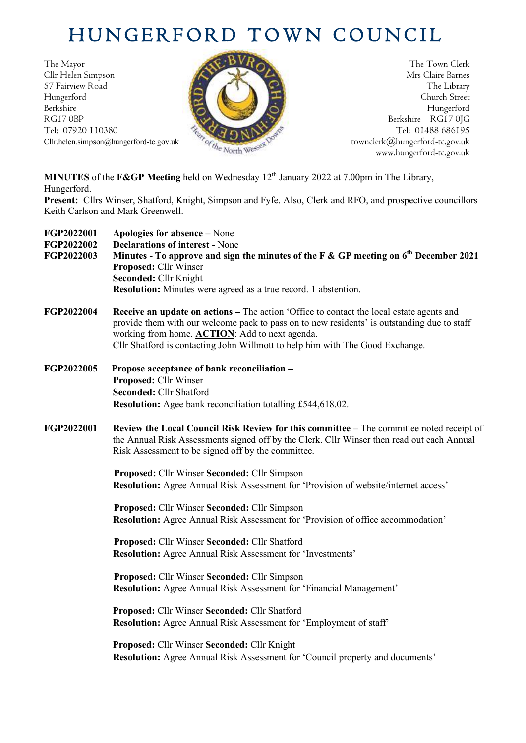## HUNGERFORD TOWN COUNCIL

The Mayor The Town Clerk Cllr Helen Simpson Mrs Claire Barnes 57 Fairview Road The Library (2008) The Library (2008) The Library (2008) The Library Hungerford Church Street Berkshire Hungerford RG17 0BP Berkshire RG17 0JG Berkshire RG17 0JG Berkshire RG17 0JG



Tel: 01488 686195 www.hungerford-tc.gov.uk

**MINUTES** of the **F&GP Meeting** held on Wednesday 12th January 2022 at 7.00pm in The Library, Hungerford.

**Present:** Cllrs Winser, Shatford, Knight, Simpson and Fyfe. Also, Clerk and RFO, and prospective councillors Keith Carlson and Mark Greenwell.

| FGP2022001<br>FGP2022002<br>FGP2022003 | Apologies for absence – None<br><b>Declarations of interest - None</b><br>Minutes - To approve and sign the minutes of the F & GP meeting on $6th$ December 2021<br>Proposed: Cllr Winser<br>Seconded: Cllr Knight<br><b>Resolution:</b> Minutes were agreed as a true record. 1 abstention.                                              |
|----------------------------------------|-------------------------------------------------------------------------------------------------------------------------------------------------------------------------------------------------------------------------------------------------------------------------------------------------------------------------------------------|
| FGP2022004                             | <b>Receive an update on actions – The action 'Office to contact the local estate agents and</b><br>provide them with our welcome pack to pass on to new residents' is outstanding due to staff<br>working from home. <b>ACTION</b> : Add to next agenda.<br>Cllr Shatford is contacting John Willmott to help him with The Good Exchange. |
| FGP2022005                             | Propose acceptance of bank reconciliation -<br>Proposed: Cllr Winser<br>Seconded: Cllr Shatford<br>Resolution: Agee bank reconciliation totalling £544,618.02.                                                                                                                                                                            |
| FGP2022001                             | Review the Local Council Risk Review for this committee - The committee noted receipt of<br>the Annual Risk Assessments signed off by the Clerk. Cllr Winser then read out each Annual<br>Risk Assessment to be signed off by the committee.                                                                                              |
|                                        | Proposed: Cllr Winser Seconded: Cllr Simpson<br>Resolution: Agree Annual Risk Assessment for 'Provision of website/internet access'                                                                                                                                                                                                       |
|                                        | Proposed: Cllr Winser Seconded: Cllr Simpson<br>Resolution: Agree Annual Risk Assessment for 'Provision of office accommodation'                                                                                                                                                                                                          |
|                                        | Proposed: Cllr Winser Seconded: Cllr Shatford<br>Resolution: Agree Annual Risk Assessment for 'Investments'                                                                                                                                                                                                                               |
|                                        | Proposed: Cllr Winser Seconded: Cllr Simpson<br>Resolution: Agree Annual Risk Assessment for 'Financial Management'                                                                                                                                                                                                                       |
|                                        | Proposed: Cllr Winser Seconded: Cllr Shatford<br>Resolution: Agree Annual Risk Assessment for 'Employment of staff'                                                                                                                                                                                                                       |
|                                        | Proposed: Cllr Winser Seconded: Cllr Knight<br>Resolution: Agree Annual Risk Assessment for 'Council property and documents'                                                                                                                                                                                                              |
|                                        |                                                                                                                                                                                                                                                                                                                                           |